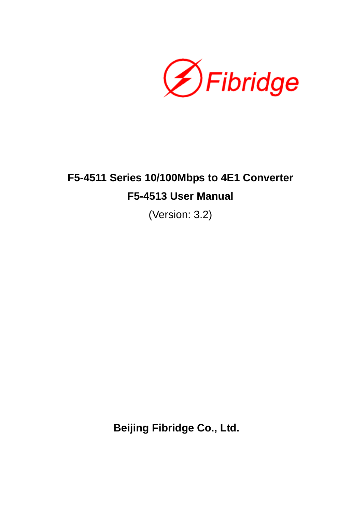**ØFibridge** 

# **F5-4511 Series 10/100Mbps to 4E1 Converter F5-4513 User Manual**

(Version: 3.2)

**Beijing Fibridge Co., Ltd.**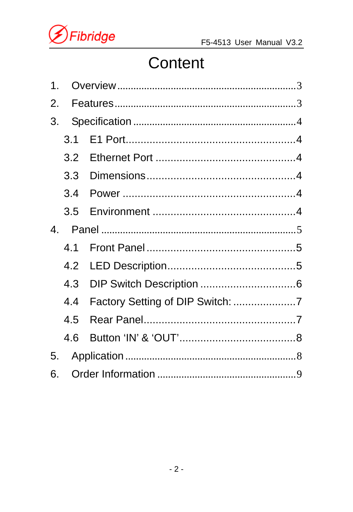

# Content

| 1. |     |  |  |  |  |  |  |  |  |  |  |
|----|-----|--|--|--|--|--|--|--|--|--|--|
| 2. |     |  |  |  |  |  |  |  |  |  |  |
| 3. |     |  |  |  |  |  |  |  |  |  |  |
|    | 3.1 |  |  |  |  |  |  |  |  |  |  |
|    |     |  |  |  |  |  |  |  |  |  |  |
|    | 3.3 |  |  |  |  |  |  |  |  |  |  |
|    | 3.4 |  |  |  |  |  |  |  |  |  |  |
|    |     |  |  |  |  |  |  |  |  |  |  |
| 4. |     |  |  |  |  |  |  |  |  |  |  |
|    | 41  |  |  |  |  |  |  |  |  |  |  |
|    | 4.2 |  |  |  |  |  |  |  |  |  |  |
|    | 4.3 |  |  |  |  |  |  |  |  |  |  |
|    | 4.4 |  |  |  |  |  |  |  |  |  |  |
|    | 4.5 |  |  |  |  |  |  |  |  |  |  |
|    | 4.6 |  |  |  |  |  |  |  |  |  |  |
| 5. |     |  |  |  |  |  |  |  |  |  |  |
| 6. |     |  |  |  |  |  |  |  |  |  |  |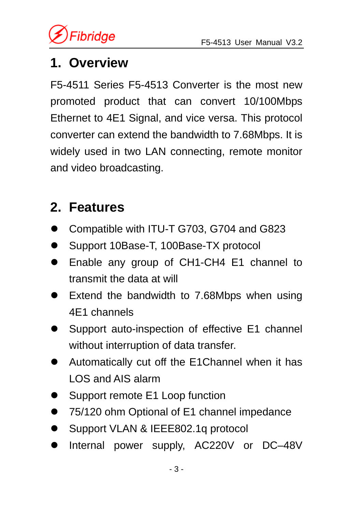## **1. Overview**

F5-4511 Series F5-4513 Converter is the most new promoted product that can convert 10/100Mbps Ethernet to 4E1 Signal, and vice versa. This protocol converter can extend the bandwidth to 7.68Mbps. It is widely used in two LAN connecting, remote monitor and video broadcasting.

## **2. Features**

- z Compatible with ITU-T G703, G704 and G823
- Support 10Base-T, 100Base-TX protocol
- Enable any group of CH1-CH4 E1 channel to transmit the data at will
- **Extend the bandwidth to 7.68Mbps when using** 4E1 channels
- Support auto-inspection of effective E1 channel without interruption of data transfer.
- Automatically cut off the E1Channel when it has LOS and AIS alarm
- Support remote E1 Loop function
- 75/120 ohm Optional of E1 channel impedance
- Support VLAN & IEEE802.1q protocol
- Internal power supply, AC220V or DC-48V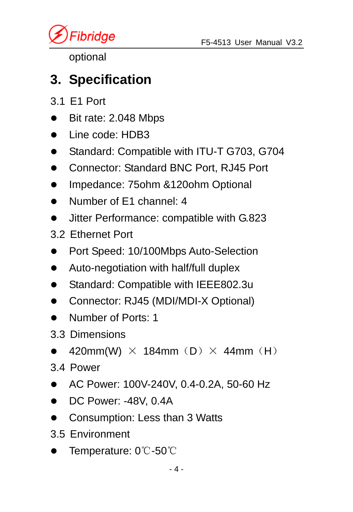*Fibridge* 

optional

## **3. Specification**

- 3.1 E1 Port
- Bit rate: 2.048 Mbps
- Line code: HDB3
- Standard: Compatible with ITU-T G703, G704
- Connector: Standard BNC Port, RJ45 Port
- Impedance: 75ohm &120ohm Optional
- Number of F1 channel: 4
- Jitter Performance: compatible with G.823
- 3.2 Ethernet Port
- Port Speed: 10/100Mbps Auto-Selection
- Auto-negotiation with half/full duplex
- Standard: Compatible with IEEE802.3u
- Connector: RJ45 (MDI/MDI-X Optional)
- Number of Ports: 1
- 3.3 Dimensions
- 420mm(W)  $\times$  184mm (D)  $\times$  44mm (H)
- 3.4 Power
- z AC Power: 100V-240V, 0.4-0.2A, 50-60 Hz
- $\bullet$  DC Power: -48V, 0.4A
- Consumption: Less than 3 Watts
- 3.5 Environment
- Temperature: 0℃-50℃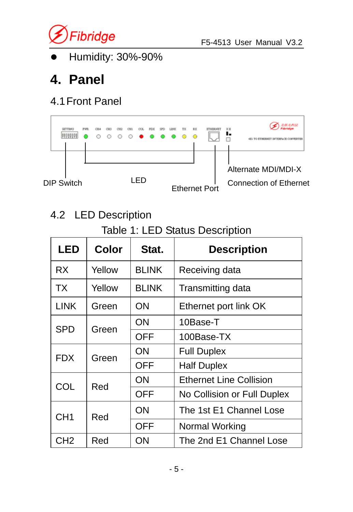

Humidity: 30%-90%

# **4. Panel**

#### 4.1 Front Panel

| <b>SETTING</b><br>,,,,,,, |  | $\circ$ | $\circ$ $\circ$ $\bullet$ $\circ$ |      |  |  |                      |  |                                                      |  |
|---------------------------|--|---------|-----------------------------------|------|--|--|----------------------|--|------------------------------------------------------|--|
| DIP Switch                |  |         |                                   | ∣ FD |  |  | <b>Ethernet Port</b> |  | Alternate MDI/MDI-X<br><b>Connection of Ethernet</b> |  |

#### 4.2 LED Description

#### Table 1: LED Status Description

| LED             | Color                   | Stat.        | <b>Description</b>             |  |  |
|-----------------|-------------------------|--------------|--------------------------------|--|--|
| RX.             | Yellow                  | <b>BLINK</b> | Receiving data                 |  |  |
| TX.             | Yellow                  | <b>BLINK</b> | Transmitting data              |  |  |
| <b>LINK</b>     | Green                   | ON           | Ethernet port link OK          |  |  |
|                 |                         | ON           | 10Base-T                       |  |  |
| <b>SPD</b>      | Green                   | OFF          | 100Base-TX                     |  |  |
| FDX             | Green                   | ΟN           | <b>Full Duplex</b>             |  |  |
|                 |                         | OFF          | <b>Half Duplex</b>             |  |  |
| COL             | Red                     | ON           | <b>Ethernet Line Collision</b> |  |  |
|                 |                         | OFF          | No Collision or Full Duplex    |  |  |
| CH <sub>1</sub> | Red                     | ON           | The 1st E1 Channel Lose        |  |  |
|                 |                         | OFF          | Normal Working                 |  |  |
| CH <sub>2</sub> | The 2nd E1 Channel Lose |              |                                |  |  |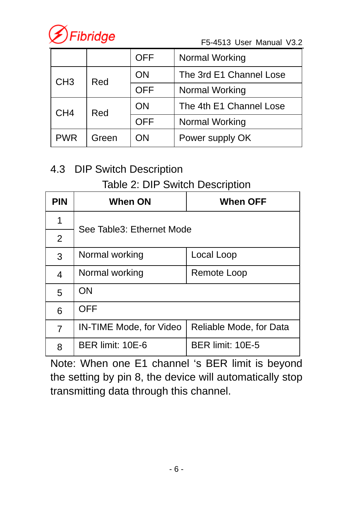

F5-4513 User Manual V3.2

|                 |       | <b>OFF</b><br>Normal Working |                         |  |  |  |
|-----------------|-------|------------------------------|-------------------------|--|--|--|
| CH <sub>3</sub> | Red   | ΟN                           | The 3rd E1 Channel Lose |  |  |  |
|                 |       | <b>OFF</b>                   | Normal Working          |  |  |  |
| CH <sub>4</sub> | Red   | ON                           | The 4th E1 Channel Lose |  |  |  |
|                 |       | OFF                          | Normal Working          |  |  |  |
| <b>PWR</b>      | Green | ON                           | Power supply OK         |  |  |  |

#### 4.3 DIP Switch Description

#### Table 2: DIP Switch Description

| <b>PIN</b>     | <b>When ON</b>            | When OFF                |  |  |  |  |  |  |
|----------------|---------------------------|-------------------------|--|--|--|--|--|--|
| 1              |                           |                         |  |  |  |  |  |  |
| $\overline{2}$ | See Table3: Ethernet Mode |                         |  |  |  |  |  |  |
| 3              | Normal working            | Local Loop              |  |  |  |  |  |  |
| 4              | Normal working            | Remote Loop             |  |  |  |  |  |  |
| 5              | ON                        |                         |  |  |  |  |  |  |
| 6              | OFF                       |                         |  |  |  |  |  |  |
| 7              | IN-TIME Mode, for Video   | Reliable Mode, for Data |  |  |  |  |  |  |
| 8              | BER limit: 10E-6          | BER limit: 10E-5        |  |  |  |  |  |  |

Note: When one E1 channel 's BER limit is beyond the setting by pin 8, the device will automatically stop transmitting data through this channel.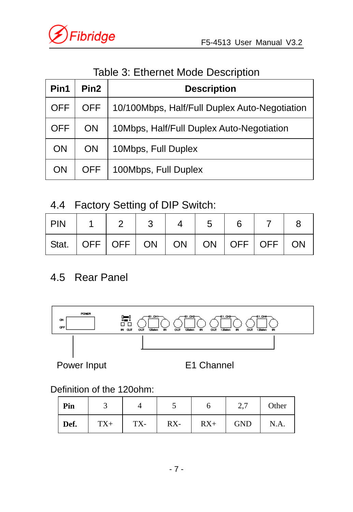

#### Table 3: Ethernet Mode Description

| Pin1       | Pin2       | <b>Description</b>                            |  |  |  |  |  |  |  |
|------------|------------|-----------------------------------------------|--|--|--|--|--|--|--|
| <b>OFF</b> | <b>OFF</b> | 10/100Mbps, Half/Full Duplex Auto-Negotiation |  |  |  |  |  |  |  |
| OFF        | ΟN         | 10Mbps, Half/Full Duplex Auto-Negotiation     |  |  |  |  |  |  |  |
| <b>ON</b>  | ON         | 10Mbps, Full Duplex                           |  |  |  |  |  |  |  |
| ΟN         | OFF        | 100Mbps, Full Duplex                          |  |  |  |  |  |  |  |

#### 4.4 Factory Setting of DIP Switch:

| l PIN                                                                                   |  |  | $\vert 5$ |  |  |
|-----------------------------------------------------------------------------------------|--|--|-----------|--|--|
| $ \text{Stat.} \text{ OFF} $ OFF $ \text{ ON} $ ON $ \text{ ON} $ OFF $ \text{OFF} $ ON |  |  |           |  |  |

#### 4.5 Rear Panel



Power Input E1 Channel

Definition of the 120ohm:

| Pin  |       |     |        |       | 2.7        | Other |
|------|-------|-----|--------|-------|------------|-------|
| Def. | $TX+$ | TX- | $RX -$ | $RX+$ | <b>GND</b> | N.A.  |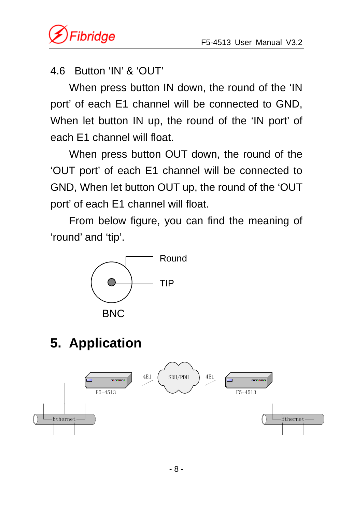

#### 4.6 Button 'IN' & 'OUT'

When press button IN down, the round of the 'IN port' of each E1 channel will be connected to GND, When let button IN up, the round of the 'IN port' of each E1 channel will float.

When press button OUT down, the round of the 'OUT port' of each E1 channel will be connected to GND, When let button OUT up, the round of the 'OUT port' of each E1 channel will float.

From below figure, you can find the meaning of 'round' and 'tip'.



# **5. Application**